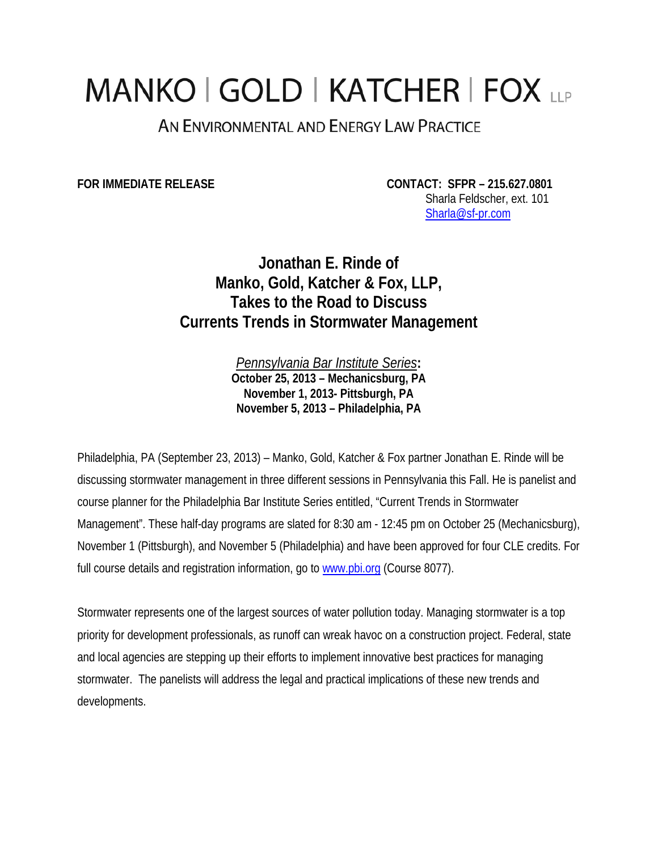## MANKO | GOLD | KATCHER | FOX LLP

AN ENVIRONMENTAL AND ENERGY LAW PRACTICE

**FOR IMMEDIATE RELEASE CONTACT: SFPR – 215.627.0801**  Sharla Feldscher, ext. 101 Sharla@sf-pr.com

> **Jonathan E. Rinde of Manko, Gold, Katcher & Fox, LLP, Takes to the Road to Discuss Currents Trends in Stormwater Management**

> > *Pennsylvania Bar Institute Series***: October 25, 2013 – Mechanicsburg, PA November 1, 2013- Pittsburgh, PA November 5, 2013 – Philadelphia, PA**

Philadelphia, PA (September 23, 2013) – Manko, Gold, Katcher & Fox partner Jonathan E. Rinde will be discussing stormwater management in three different sessions in Pennsylvania this Fall. He is panelist and course planner for the Philadelphia Bar Institute Series entitled, "Current Trends in Stormwater Management". These half-day programs are slated for 8:30 am - 12:45 pm on October 25 (Mechanicsburg), November 1 (Pittsburgh), and November 5 (Philadelphia) and have been approved for four CLE credits. For full course details and registration information, go to www.pbi.org (Course 8077).

Stormwater represents one of the largest sources of water pollution today. Managing stormwater is a top priority for development professionals, as runoff can wreak havoc on a construction project. Federal, state and local agencies are stepping up their efforts to implement innovative best practices for managing stormwater. The panelists will address the legal and practical implications of these new trends and developments.